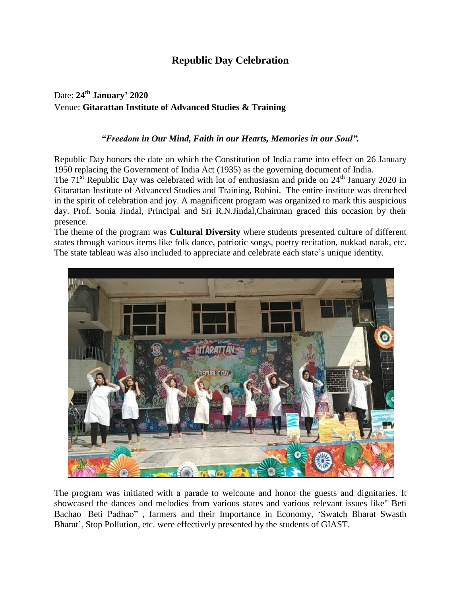## **Republic Day Celebration**

## Date: **24 th January' 2020** Venue: **Gitarattan Institute of Advanced Studies & Training**

## *"Freedom in Our Mind, Faith in our Hearts, Memories in our Soul".*

Republic Day honors the date on which the [Constitution](https://en.wikipedia.org/wiki/Indian_constitution) of India came into effect on 26 January 1950 replacing the [Government](https://en.wikipedia.org/wiki/Government_of_India_Act_1935) of India Act (1935) as the governing document of India.

The  $71<sup>st</sup>$  Republic Day was celebrated with lot of enthusiasm and pride on  $24<sup>th</sup>$  January 2020 in Gitarattan Institute of Advanced Studies and Training, Rohini. The entire institute was drenched in the spirit of celebration and joy. A magnificent program was organized to mark this auspicious day. Prof. Sonia Jindal, Principal and Sri R.N.Jindal,Chairman graced this occasion by their presence.

The theme of the program was **Cultural Diversity** where students presented culture of different states through various items like folk dance, patriotic songs, poetry recitation, nukkad natak, etc. The state tableau was also included to appreciate and celebrate each state's unique identity.



The program was initiated with a parade to welcome and honor the guests and dignitaries. It showcased the dances and melodies from various states and various relevant issues like" Beti Bachao Beti Padhao" , farmers and their Importance in Economy, 'Swatch Bharat Swasth Bharat', Stop Pollution, etc. were effectively presented by the students of GIAST.